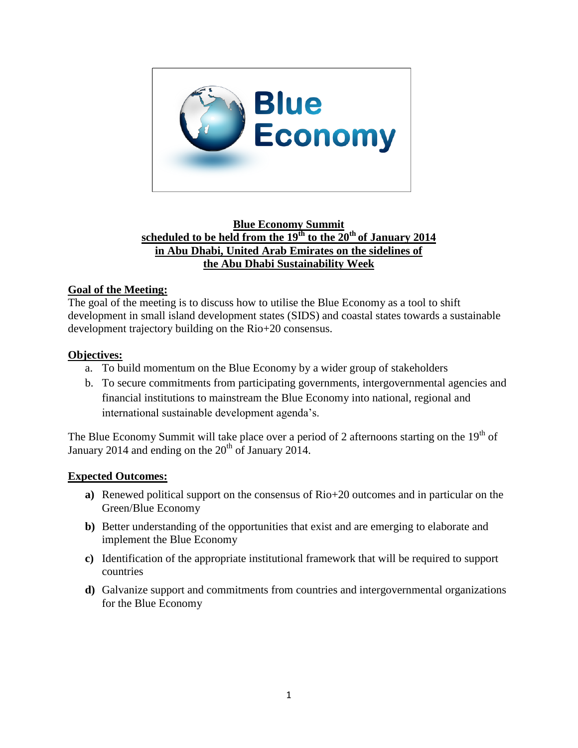

# **Blue Economy Summit scheduled to be held from the 19th to the 20th of January 2014 in Abu Dhabi, United Arab Emirates on the sidelines of the Abu Dhabi Sustainability Week**

# **Goal of the Meeting:**

The goal of the meeting is to discuss how to utilise the Blue Economy as a tool to shift development in small island development states (SIDS) and coastal states towards a sustainable development trajectory building on the Rio+20 consensus.

# **Objectives:**

- a. To build momentum on the Blue Economy by a wider group of stakeholders
- b. To secure commitments from participating governments, intergovernmental agencies and financial institutions to mainstream the Blue Economy into national, regional and international sustainable development agenda's.

The Blue Economy Summit will take place over a period of 2 afternoons starting on the  $19<sup>th</sup>$  of January 2014 and ending on the  $20<sup>th</sup>$  of January 2014.

# **Expected Outcomes:**

- **a)** Renewed political support on the consensus of Rio+20 outcomes and in particular on the Green/Blue Economy
- **b)** Better understanding of the opportunities that exist and are emerging to elaborate and implement the Blue Economy
- **c)** Identification of the appropriate institutional framework that will be required to support countries
- **d)** Galvanize support and commitments from countries and intergovernmental organizations for the Blue Economy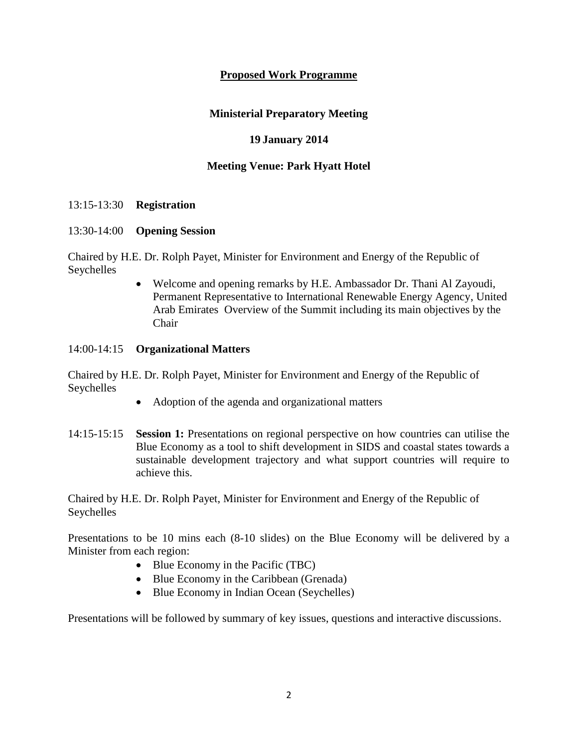### **Proposed Work Programme**

#### **Ministerial Preparatory Meeting**

#### **19 January 2014**

#### **Meeting Venue: Park Hyatt Hotel**

#### 13:15-13:30 **Registration**

#### 13:30-14:00 **Opening Session**

Chaired by H.E. Dr. Rolph Payet, Minister for Environment and Energy of the Republic of Seychelles

> Welcome and opening remarks by H.E. Ambassador Dr. Thani Al Zayoudi, Permanent Representative to International Renewable Energy Agency, United Arab Emirates Overview of the Summit including its main objectives by the Chair

#### 14:00-14:15 **Organizational Matters**

Chaired by H.E. Dr. Rolph Payet, Minister for Environment and Energy of the Republic of Seychelles

- Adoption of the agenda and organizational matters
- 14:15-15:15 **Session 1:** Presentations on regional perspective on how countries can utilise the Blue Economy as a tool to shift development in SIDS and coastal states towards a sustainable development trajectory and what support countries will require to achieve this.

Chaired by H.E. Dr. Rolph Payet, Minister for Environment and Energy of the Republic of Seychelles

Presentations to be 10 mins each (8-10 slides) on the Blue Economy will be delivered by a Minister from each region:

- Blue Economy in the Pacific (TBC)
- Blue Economy in the Caribbean (Grenada)
- Blue Economy in Indian Ocean (Seychelles)

Presentations will be followed by summary of key issues, questions and interactive discussions.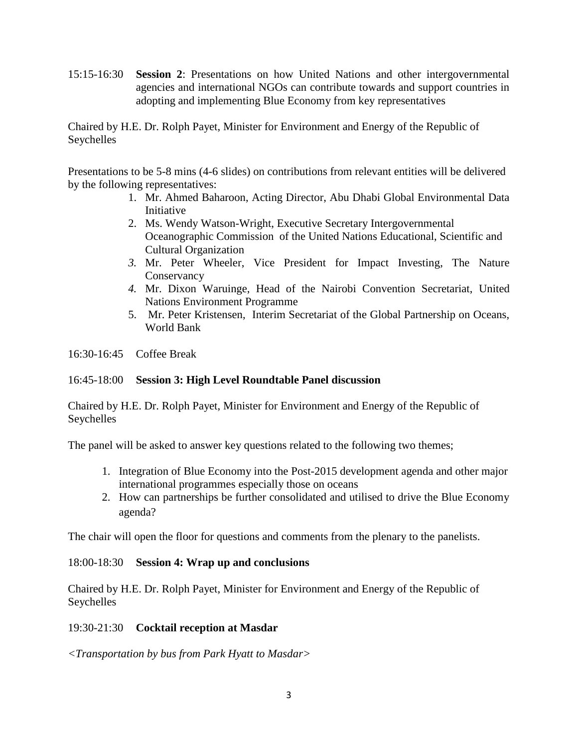15:15-16:30 **Session 2**: Presentations on how United Nations and other intergovernmental agencies and international NGOs can contribute towards and support countries in adopting and implementing Blue Economy from key representatives

Chaired by H.E. Dr. Rolph Payet, Minister for Environment and Energy of the Republic of Seychelles

Presentations to be 5-8 mins (4-6 slides) on contributions from relevant entities will be delivered by the following representatives:

- 1. Mr. Ahmed Baharoon, Acting Director, Abu Dhabi Global Environmental Data Initiative
- 2. Ms. Wendy Watson-Wright, Executive Secretary Intergovernmental Oceanographic Commission of the United Nations Educational, Scientific and Cultural Organization
- *3.* Mr. Peter Wheeler, Vice President for Impact Investing, The Nature **Conservancy**
- *4.* Mr. Dixon Waruinge, Head of the Nairobi Convention Secretariat, United Nations Environment Programme
- 5. Mr. Peter Kristensen, Interim Secretariat of the Global Partnership on Oceans, World Bank

16:30-16:45 Coffee Break

### 16:45-18:00 **Session 3: High Level Roundtable Panel discussion**

Chaired by H.E. Dr. Rolph Payet, Minister for Environment and Energy of the Republic of Seychelles

The panel will be asked to answer key questions related to the following two themes;

- 1. Integration of Blue Economy into the Post-2015 development agenda and other major international programmes especially those on oceans
- 2. How can partnerships be further consolidated and utilised to drive the Blue Economy agenda?

The chair will open the floor for questions and comments from the plenary to the panelists.

#### 18:00-18:30 **Session 4: Wrap up and conclusions**

Chaired by H.E. Dr. Rolph Payet, Minister for Environment and Energy of the Republic of Seychelles

# 19:30-21:30 **Cocktail reception at Masdar**

*<Transportation by bus from Park Hyatt to Masdar>*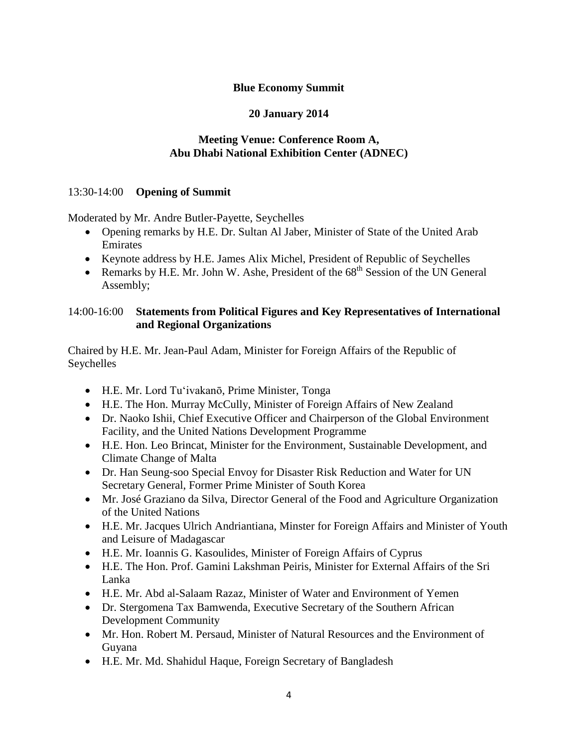### **Blue Economy Summit**

# **20 January 2014**

### **Meeting Venue: Conference Room A, Abu Dhabi National Exhibition Center (ADNEC)**

### 13:30-14:00 **Opening of Summit**

Moderated by Mr. Andre Butler-Payette, Seychelles

- Opening remarks by H.E. Dr. Sultan Al Jaber, Minister of State of the United Arab Emirates
- Keynote address by H.E. James Alix Michel, President of Republic of Seychelles
- Remarks by H.E. Mr. John W. Ashe, President of the  $68<sup>th</sup>$  Session of the UN General Assembly;

# 14:00-16:00 **Statements from Political Figures and Key Representatives of International and Regional Organizations**

Chaired by H.E. Mr. Jean-Paul Adam, Minister for Foreign Affairs of the Republic of Seychelles

- H.E. Mr. Lord Tu'ivakanō, Prime Minister, Tonga
- H.E. The Hon. Murray McCully, Minister of Foreign Affairs of New Zealand
- Dr. Naoko Ishii, Chief Executive Officer and Chairperson of the Global Environment Facility, and the United Nations Development Programme
- H.E. Hon. Leo Brincat, Minister for the Environment, Sustainable Development, and Climate Change of Malta
- Dr. Han Seung-soo Special Envoy for Disaster Risk Reduction and Water for UN Secretary General, Former Prime Minister of South Korea
- Mr. José Graziano da Silva, Director General of the Food and Agriculture Organization of the United Nations
- H.E. Mr. Jacques Ulrich Andriantiana, Minster for Foreign Affairs and Minister of Youth and Leisure of Madagascar
- H.E. Mr. Ioannis G. Kasoulides, Minister of Foreign Affairs of Cyprus
- H.E. The Hon. Prof. Gamini Lakshman Peiris, Minister for External Affairs of the Sri Lanka
- H.E. Mr. Abd al-Salaam Razaz, Minister of Water and Environment of Yemen
- Dr. Stergomena Tax Bamwenda, Executive Secretary of the Southern African Development Community
- Mr. Hon. Robert M. Persaud, Minister of Natural Resources and the Environment of Guyana
- H.E. Mr. Md. Shahidul Haque, Foreign Secretary of Bangladesh